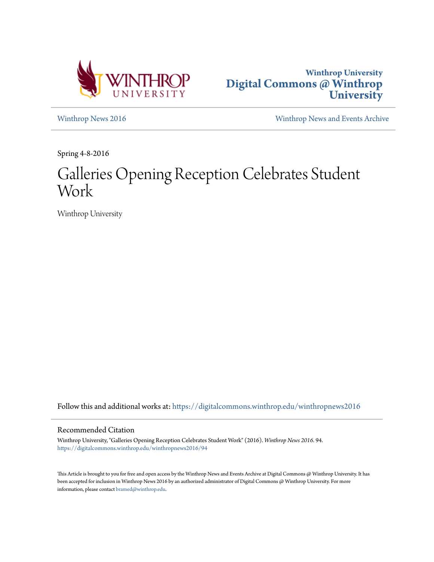



[Winthrop News 2016](https://digitalcommons.winthrop.edu/winthropnews2016?utm_source=digitalcommons.winthrop.edu%2Fwinthropnews2016%2F94&utm_medium=PDF&utm_campaign=PDFCoverPages) [Winthrop News and Events Archive](https://digitalcommons.winthrop.edu/winthropnewsarchives?utm_source=digitalcommons.winthrop.edu%2Fwinthropnews2016%2F94&utm_medium=PDF&utm_campaign=PDFCoverPages)

Spring 4-8-2016

# Galleries Opening Reception Celebrates Student Work

Winthrop University

Follow this and additional works at: [https://digitalcommons.winthrop.edu/winthropnews2016](https://digitalcommons.winthrop.edu/winthropnews2016?utm_source=digitalcommons.winthrop.edu%2Fwinthropnews2016%2F94&utm_medium=PDF&utm_campaign=PDFCoverPages)

#### Recommended Citation

Winthrop University, "Galleries Opening Reception Celebrates Student Work" (2016). *Winthrop News 2016*. 94. [https://digitalcommons.winthrop.edu/winthropnews2016/94](https://digitalcommons.winthrop.edu/winthropnews2016/94?utm_source=digitalcommons.winthrop.edu%2Fwinthropnews2016%2F94&utm_medium=PDF&utm_campaign=PDFCoverPages)

This Article is brought to you for free and open access by the Winthrop News and Events Archive at Digital Commons @ Winthrop University. It has been accepted for inclusion in Winthrop News 2016 by an authorized administrator of Digital Commons @ Winthrop University. For more information, please contact [bramed@winthrop.edu](mailto:bramed@winthrop.edu).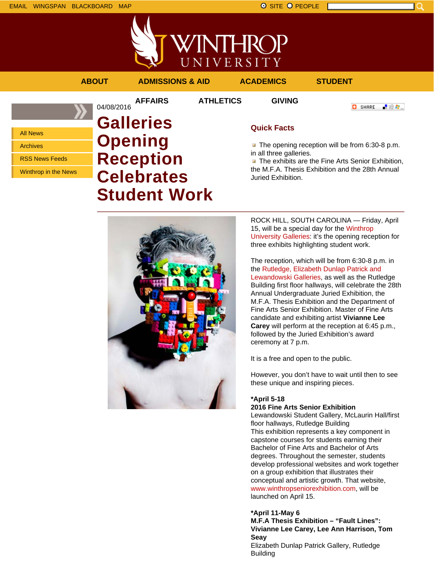EMAIL WINGSPAN BLACKBOARD MAP SITE O PEOPLE



# **ABOUT ADMISSIONS & AID ACADEMICS STUDENT**

**AFFAIRS ATHLETICS GIVING**

■ 80 ●

**C** SHARE

All News

Archives

RSS News Feeds

Winthrop in the News

# 04/08/2016 **Galleries Opening Reception Celebrates Student Work**

## **Quick Facts**

The opening reception will be from 6:30-8 p.m. in all three galleries.

**The exhibits are the Fine Arts Senior Exhibition,** the M.F.A. Thesis Exhibition and the 28th Annual Juried Exhibition.



ROCK HILL, SOUTH CAROLINA — Friday, April 15, will be a special day for the Winthrop University Galleries: it's the opening reception for three exhibits highlighting student work.

The reception, which will be from 6:30-8 p.m. in the Rutledge, Elizabeth Dunlap Patrick and Lewandowski Galleries, as well as the Rutledge Building first floor hallways, will celebrate the 28th Annual Undergraduate Juried Exhibition, the M.F.A. Thesis Exhibition and the Department of Fine Arts Senior Exhibition. Master of Fine Arts candidate and exhibiting artist **Vivianne Lee Carey** will perform at the reception at 6:45 p.m., followed by the Juried Exhibition's award ceremony at 7 p.m.

It is a free and open to the public.

However, you don't have to wait until then to see these unique and inspiring pieces.

### **\*April 5-18**

#### **2016 Fine Arts Senior Exhibition**

Lewandowski Student Gallery, McLaurin Hall/first floor hallways, Rutledge Building This exhibition represents a key component in capstone courses for students earning their Bachelor of Fine Arts and Bachelor of Arts degrees. Throughout the semester, students develop professional websites and work together on a group exhibition that illustrates their conceptual and artistic growth. That website, www.winthropseniorexhibition.com, will be launched on April 15.

### **\*April 11-May 6**

**M.F.A Thesis Exhibition – "Fault Lines": Vivianne Lee Carey, Lee Ann Harrison, Tom Seay** Elizabeth Dunlap Patrick Gallery, Rutledge Building